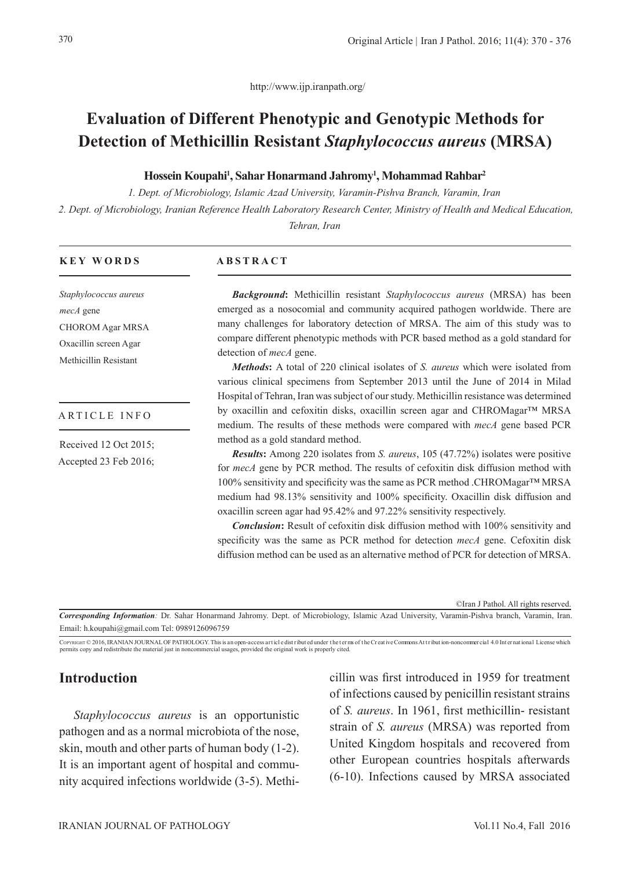http://www.ijp.iranpath.org/

# **Evaluation of Different Phenotypic and Genotypic Methods for Detection of Methicillin Resistant** *Staphylococcus aureus* **(MRSA)**

#### **Hossein Koupahi1 , Sahar Honarmand Jahromy1 , Mohammad Rahbar2**

*1. Dept. of Microbiology, Islamic Azad University, Varamin-Pishva Branch, Varamin, Iran 2. Dept. of Microbiology, Iranian Reference Health Laboratory Research Center, Ministry of Health and Medical Education, Tehran, Iran*

#### **KEY WORDS**

*Staphylococcus aureus mecA* gene CHOROM Agar MRSA Oxacillin screen Agar Methicillin Resistant

#### ARTICLE INFO

Received 12 Oct 2015; Accepted 23 Feb 2016;

#### **ABSTRACT**

*Background***:** Methicillin resistant *Staphylococcus aureus* (MRSA) has been emerged as a nosocomial and community acquired pathogen worldwide. There are many challenges for laboratory detection of MRSA. The aim of this study was to compare different phenotypic methods with PCR based method as a gold standard for detection of *mecA* gene.

*Methods***:** A total of 220 clinical isolates of *S. aureus* which were isolated from various clinical specimens from September 2013 until the June of 2014 in Milad Hospital of Tehran, Iran was subject of our study. Methicillin resistance was determined by oxacillin and cefoxitin disks, oxacillin screen agar and CHROMagar™ MRSA medium. The results of these methods were compared with *mecA* gene based PCR method as a gold standard method.

*Results***:** Among 220 isolates from *S. aureus*, 105 (47.72%) isolates were positive for *mecA* gene by PCR method. The results of cefoxitin disk diffusion method with 100% sensitivity and specificity was the same as PCR method .CHROMagar™ MRSA medium had 98.13% sensitivity and 100% specificity. Oxacillin disk diffusion and oxacillin screen agar had 95.42% and 97.22% sensitivity respectively.

*Conclusion***:** Result of cefoxitin disk diffusion method with 100% sensitivity and specificity was the same as PCR method for detection *mecA* gene. Cefoxitin disk diffusion method can be used as an alternative method of PCR for detection of MRSA.

©Iran J Pathol. All rights reserved.

*Corresponding Information:* Dr. Sahar Honarmand Jahromy. Dept. of Microbiology, Islamic Azad University, Varamin-Pishva branch, Varamin, Iran. Email: h.koupahi@gmail.com Tel: 0989126096759

COPYRIGHT © 2016, IRANIAN JOURNAL OF PATHOLOGY. This is an open-access art icle dist ribut ed under the terms of the Creative Commons Att ribution-noncommer cial 4.0 International License which permits copy and redistribute the material just in noncommercial usages, provided the original work is properly cited.

## **Introduction**

*Staphylococcus aureus* is an opportunistic pathogen and as a normal microbiota of the nose, skin, mouth and other parts of human body (1-2). It is an important agent of hospital and community acquired infections worldwide (3-5). Methicillin was first introduced in 1959 for treatment of infections caused by penicillin resistant strains of *S. aureus*. In 1961, first methicillin- resistant strain of *S. aureus* (MRSA) was reported from United Kingdom hospitals and recovered from other European countries hospitals afterwards (6-10). Infections caused by MRSA associated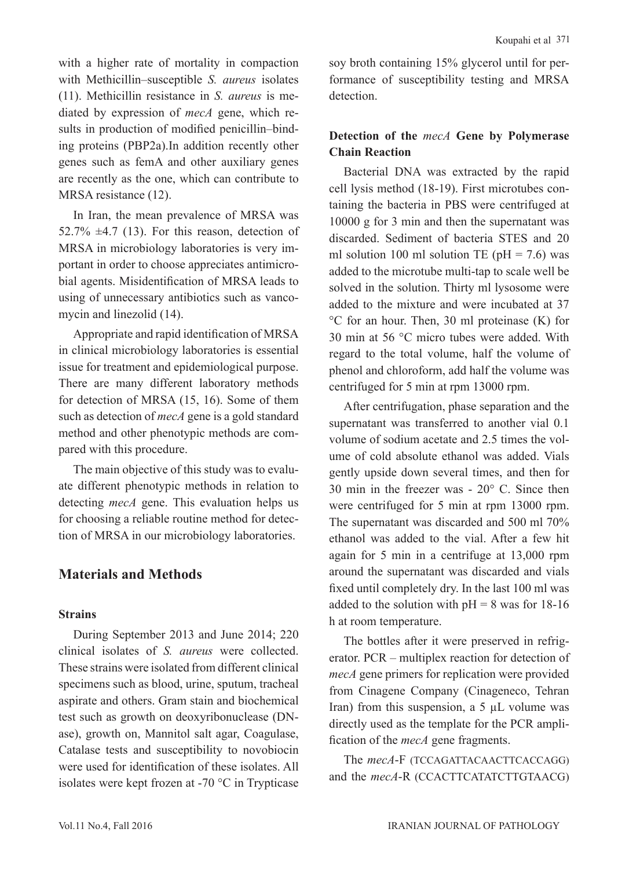with a higher rate of mortality in compaction with Methicillin–susceptible *S. aureus* isolates (11). Methicillin resistance in *S. aureus* is mediated by expression of *mecA* gene, which results in production of modified penicillin–binding proteins (PBP2a).In addition recently other genes such as femA and other auxiliary genes are recently as the one, which can contribute to MRSA resistance (12).

In Iran, the mean prevalence of MRSA was 52.7%  $\pm$ 4.7 (13). For this reason, detection of MRSA in microbiology laboratories is very important in order to choose appreciates antimicrobial agents. Misidentification of MRSA leads to using of unnecessary antibiotics such as vancomycin and linezolid (14).

Appropriate and rapid identification of MRSA in clinical microbiology laboratories is essential issue for treatment and epidemiological purpose. There are many different laboratory methods for detection of MRSA (15, 16). Some of them such as detection of *mecA* gene is a gold standard method and other phenotypic methods are compared with this procedure.

The main objective of this study was to evaluate different phenotypic methods in relation to detecting *mecA* gene. This evaluation helps us for choosing a reliable routine method for detection of MRSA in our microbiology laboratories.

## **Materials and Methods**

### **Strains**

During September 2013 and June 2014; 220 clinical isolates of *S. aureus* were collected. These strains were isolated from different clinical specimens such as blood, urine, sputum, tracheal aspirate and others. Gram stain and biochemical test such as growth on deoxyribonuclease (DNase), growth on, Mannitol salt agar, Coagulase, Catalase tests and susceptibility to novobiocin were used for identification of these isolates. All isolates were kept frozen at -70 °C in Trypticase soy broth containing 15% glycerol until for performance of susceptibility testing and MRSA detection.

## **Detection of the** *mecA* **Gene by Polymerase Chain Reaction**

Bacterial DNA was extracted by the rapid cell lysis method (18-19). First microtubes containing the bacteria in PBS were centrifuged at 10000 g for 3 min and then the supernatant was discarded. Sediment of bacteria STES and 20 ml solution 100 ml solution TE ( $pH = 7.6$ ) was added to the microtube multi-tap to scale well be solved in the solution. Thirty ml lysosome were added to the mixture and were incubated at 37 °C for an hour. Then, 30 ml proteinase (K) for 30 min at 56 °C micro tubes were added. With regard to the total volume, half the volume of phenol and chloroform, add half the volume was centrifuged for 5 min at rpm 13000 rpm.

After centrifugation, phase separation and the supernatant was transferred to another vial 0.1 volume of sodium acetate and 2.5 times the volume of cold absolute ethanol was added. Vials gently upside down several times, and then for 30 min in the freezer was - 20° C. Since then were centrifuged for 5 min at rpm 13000 rpm. The supernatant was discarded and 500 ml 70% ethanol was added to the vial. After a few hit again for 5 min in a centrifuge at 13,000 rpm around the supernatant was discarded and vials fixed until completely dry. In the last 100 ml was added to the solution with  $pH = 8$  was for 18-16 h at room temperature.

The bottles after it were preserved in refrigerator. PCR – multiplex reaction for detection of *mecA* gene primers for replication were provided from Cinagene Company (Cinageneco, Tehran Iran) from this suspension, a 5 µL volume was directly used as the template for the PCR amplification of the *mecA* gene fragments.

The *mecA*-F (TCCAGATTACAACTTCACCAGG) and the *mecA*-R (CCACTTCATATCTTGTAACG)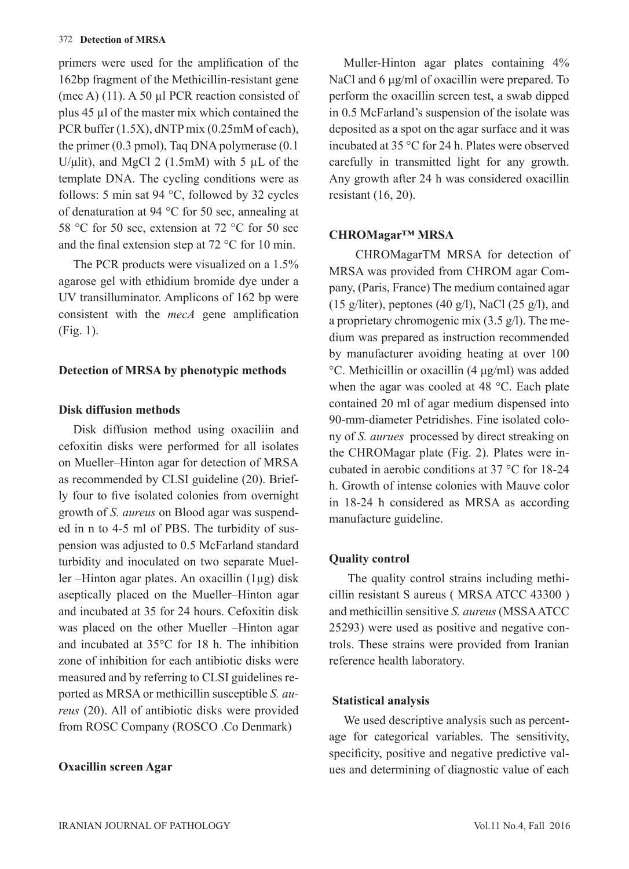#### 372 **Detection of MRSA**

primers were used for the amplification of the 162bp fragment of the Methicillin-resistant gene (mec A) (11). A 50 µl PCR reaction consisted of plus 45 µl of the master mix which contained the PCR buffer (1.5X), dNTP mix (0.25mM of each), the primer (0.3 pmol), Taq DNA polymerase (0.1 U/μlit), and MgCl 2  $(1.5 \text{m})$  with 5  $\mu$ L of the template DNA. The cycling conditions were as follows: 5 min sat 94 °C, followed by 32 cycles of denaturation at 94 °C for 50 sec, annealing at 58 °C for 50 sec, extension at 72 °C for 50 sec and the final extension step at 72 °C for 10 min.

The PCR products were visualized on a 1.5% agarose gel with ethidium bromide dye under a UV transilluminator. Amplicons of 162 bp were consistent with the *mecA* gene amplification (Fig. 1).

## **Detection of MRSA by phenotypic methods**

### **Disk diffusion methods**

Disk diffusion method using oxaciliin and cefoxitin disks were performed for all isolates on Mueller–Hinton agar for detection of MRSA as recommended by CLSI guideline (20). Briefly four to five isolated colonies from overnight growth of *S. aureus* on Blood agar was suspended in n to 4-5 ml of PBS. The turbidity of suspension was adjusted to 0.5 McFarland standard turbidity and inoculated on two separate Mueller –Hinton agar plates. An oxacillin (1µg) disk aseptically placed on the Mueller–Hinton agar and incubated at 35 for 24 hours. Cefoxitin disk was placed on the other Mueller –Hinton agar and incubated at 35°C for 18 h. The inhibition zone of inhibition for each antibiotic disks were measured and by referring to CLSI guidelines reported as MRSA or methicillin susceptible *S. aureus* (20). All of antibiotic disks were provided from ROSC Company (ROSCO .Co Denmark)

### **Oxacillin screen Agar**

Muller-Hinton agar plates containing 4% NaCl and 6 μg/ml of oxacillin were prepared. To perform the oxacillin screen test, a swab dipped in 0.5 McFarland's suspension of the isolate was deposited as a spot on the agar surface and it was incubated at 35 °C for 24 h. Plates were observed carefully in transmitted light for any growth. Any growth after 24 h was considered oxacillin resistant (16, 20).

## **CHROMagar™ MRSA**

 CHROMagarTM MRSA for detection of MRSA was provided from CHROM agar Company, (Paris, France) The medium contained agar (15 g/liter), peptones (40 g/l), NaCl (25 g/l), and a proprietary chromogenic mix (3.5 g/l). The medium was prepared as instruction recommended by manufacturer avoiding heating at over 100 °C. Methicillin or oxacillin (4 μg/ml) was added when the agar was cooled at 48 °C. Each plate contained 20 ml of agar medium dispensed into 90-mm-diameter Petridishes. Fine isolated colony of *S. aurues* processed by direct streaking on the CHROMagar plate (Fig. 2). Plates were incubated in aerobic conditions at 37 °C for 18-24 h. Growth of intense colonies with Mauve color in 18-24 h considered as MRSA as according manufacture guideline.

### **Quality control**

 The quality control strains including methicillin resistant S aureus ( MRSA ATCC 43300 ) and methicillin sensitive *S. aureus* (MSSA ATCC 25293) were used as positive and negative controls. These strains were provided from Iranian reference health laboratory.

### **Statistical analysis**

We used descriptive analysis such as percentage for categorical variables. The sensitivity, specificity, positive and negative predictive values and determining of diagnostic value of each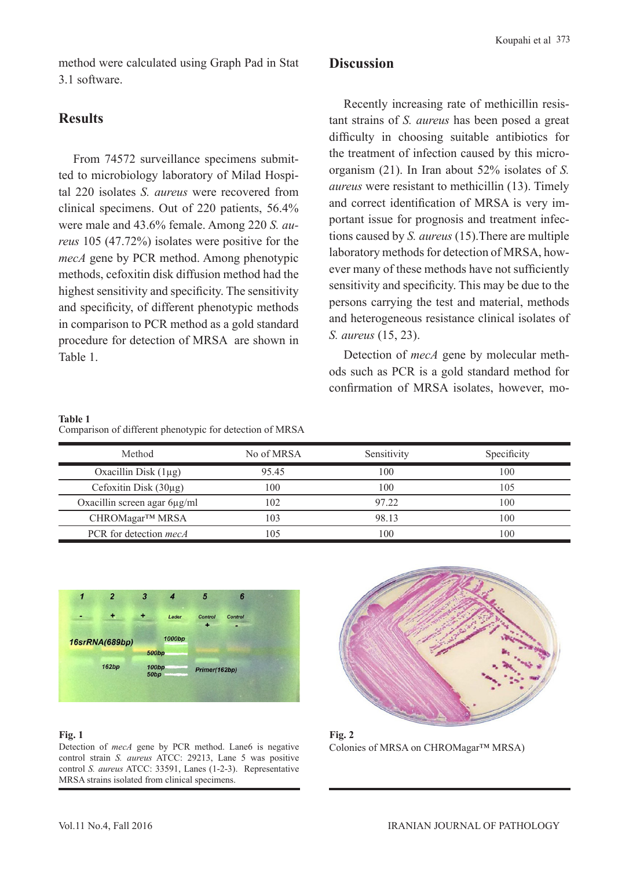method were calculated using Graph Pad in Stat 3.1 software.

## **Results**

From 74572 surveillance specimens submitted to microbiology laboratory of Milad Hospital 220 isolates *S. aureus* were recovered from clinical specimens. Out of 220 patients, 56.4% were male and 43.6% female. Among 220 *S. aureus* 105 (47.72%) isolates were positive for the *mecA* gene by PCR method. Among phenotypic methods, cefoxitin disk diffusion method had the highest sensitivity and specificity. The sensitivity and specificity, of different phenotypic methods in comparison to PCR method as a gold standard procedure for detection of MRSA are shown in Table 1.

## **Discussion**

Recently increasing rate of methicillin resistant strains of *S. aureus* has been posed a great difficulty in choosing suitable antibiotics for the treatment of infection caused by this microorganism (21). In Iran about 52% isolates of *S. aureus* were resistant to methicillin (13). Timely and correct identification of MRSA is very important issue for prognosis and treatment infections caused by *S. aureus* (15).There are multiple laboratory methods for detection of MRSA, however many of these methods have not sufficiently sensitivity and specificity. This may be due to the persons carrying the test and material, methods and heterogeneous resistance clinical isolates of *S. aureus* (15, 23).

Detection of *mecA* gene by molecular methods such as PCR is a gold standard method for confirmation of MRSA isolates, however, mo-

#### **Table 1**

Comparison of different phenotypic for detection of MRSA

| Method                        | No of MRSA     | Sensitivity | Specificity |
|-------------------------------|----------------|-------------|-------------|
| Oxacillin Disk $(1\mu g)$     | 95.45          | 100         | 100         |
| Cefoxitin Disk $(30\mu g)$    | 100            | 100         | 105         |
| Oxacillin screen agar 6µg/ml  | 102            | 97.22       | 100         |
| CHROMagar™ MRSA               | $\overline{0}$ | 98.13       | 100         |
| PCR for detection <i>mecA</i> | 05             | 100         | 100         |



#### **Fig. 1**

Detection of *mecA* gene by PCR method. Lane6 is negative control strain *S. aureus* ATCC: 29213, Lane 5 was positive control *S. aureus* ATCC: 33591, Lanes (1-2-3). Representative MRSA strains isolated from clinical specimens.



**Fig. 2** Colonies of MRSA on CHROMagar™ MRSA)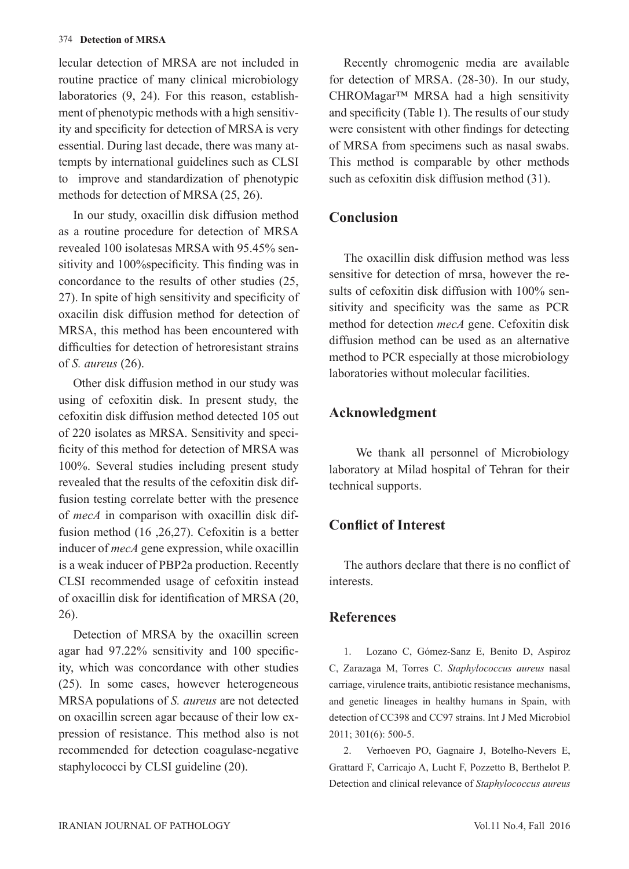lecular detection of MRSA are not included in routine practice of many clinical microbiology laboratories (9, 24). For this reason, establishment of phenotypic methods with a high sensitivity and specificity for detection of MRSA is very essential. During last decade, there was many attempts by international guidelines such as CLSI to improve and standardization of phenotypic methods for detection of MRSA (25, 26).

In our study, oxacillin disk diffusion method as a routine procedure for detection of MRSA revealed 100 isolatesas MRSA with 95.45% sensitivity and 100%specificity. This finding was in concordance to the results of other studies (25, 27). In spite of high sensitivity and specificity of oxacilin disk diffusion method for detection of MRSA, this method has been encountered with difficulties for detection of hetroresistant strains of *S. aureus* (26).

Other disk diffusion method in our study was using of cefoxitin disk. In present study, the cefoxitin disk diffusion method detected 105 out of 220 isolates as MRSA. Sensitivity and specificity of this method for detection of MRSA was 100%. Several studies including present study revealed that the results of the cefoxitin disk diffusion testing correlate better with the presence of *mecA* in comparison with oxacillin disk diffusion method (16 ,26,27). Cefoxitin is a better inducer of *mecA* gene expression, while oxacillin is a weak inducer of PBP2a production. Recently CLSI recommended usage of cefoxitin instead of oxacillin disk for identification of MRSA (20, 26).

Detection of MRSA by the oxacillin screen agar had 97.22% sensitivity and 100 specificity, which was concordance with other studies (25). In some cases, however heterogeneous MRSA populations of *S. aureus* are not detected on oxacillin screen agar because of their low expression of resistance. This method also is not recommended for detection coagulase-negative staphylococci by CLSI guideline (20).

Recently chromogenic media are available for detection of MRSA. (28-30). In our study, CHROMagar™ MRSA had a high sensitivity and specificity (Table 1). The results of our study were consistent with other findings for detecting of MRSA from specimens such as nasal swabs. This method is comparable by other methods such as cefoxitin disk diffusion method (31).

## **Conclusion**

The oxacillin disk diffusion method was less sensitive for detection of mrsa, however the results of cefoxitin disk diffusion with 100% sensitivity and specificity was the same as PCR method for detection *mecA* gene. Cefoxitin disk diffusion method can be used as an alternative method to PCR especially at those microbiology laboratories without molecular facilities.

## **Acknowledgment**

 We thank all personnel of Microbiology laboratory at Milad hospital of Tehran for their technical supports.

## **Conflict of Interest**

The authors declare that there is no conflict of interests.

## **References**

1. Lozano C, Gómez-Sanz E, Benito D, Aspiroz C, Zarazaga M, Torres C. *Staphylococcus aureus* nasal carriage, virulence traits, antibiotic resistance mechanisms, and genetic lineages in healthy humans in Spain, with detection of CC398 and CC97 strains. Int J Med Microbiol 2011; 301(6): 500-5.

2. Verhoeven PO, Gagnaire J, Botelho-Nevers E, Grattard F, Carricajo A, Lucht F, Pozzetto B, Berthelot P. Detection and clinical relevance of *Staphylococcus aureus*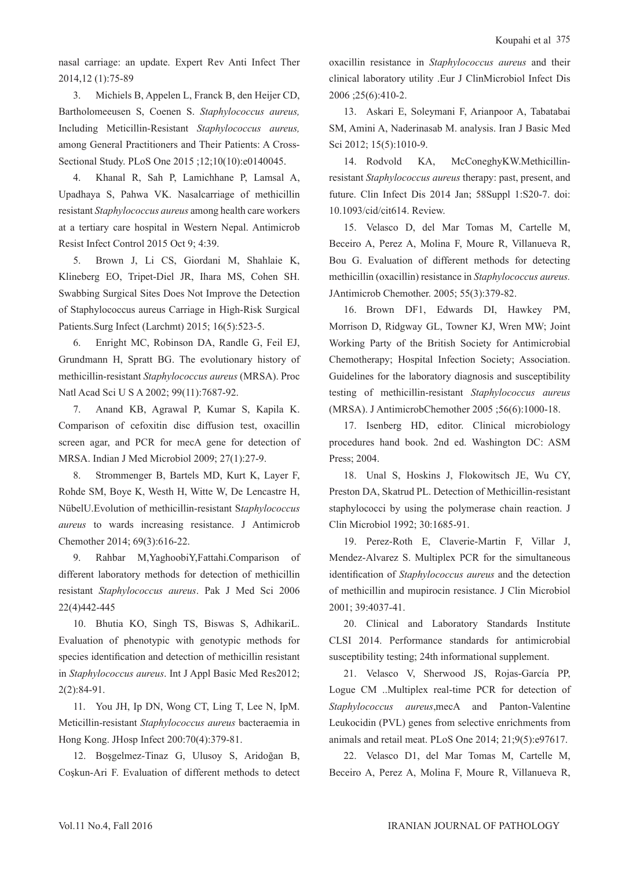nasal carriage: an update. Expert Rev Anti Infect Ther 2014,12 (1):75-89

3. Michiels B, Appelen L, Franck B, den Heijer CD, Bartholomeeusen S, Coenen S. *Staphylococcus aureus,*  Including Meticillin-Resistant *Staphylococcus aureus,*  among General Practitioners and Their Patients: A Cross-Sectional Study. PLoS One 2015 ;12;10(10):e0140045.

4. Khanal R, Sah P, Lamichhane P, Lamsal A, Upadhaya S, Pahwa VK. Nasalcarriage of methicillin resistant *Staphylococcus aureus* among health care workers at a tertiary care hospital in Western Nepal. Antimicrob Resist Infect Control 2015 Oct 9; 4:39.

5. Brown J, Li CS, Giordani M, Shahlaie K, Klineberg EO, Tripet-Diel JR, Ihara MS, Cohen SH. Swabbing Surgical Sites Does Not Improve the Detection of Staphylococcus aureus Carriage in High-Risk Surgical Patients.Surg Infect (Larchmt) 2015; 16(5):523-5.

6. Enright MC, Robinson DA, Randle G, Feil EJ, Grundmann H, Spratt BG. The evolutionary history of methicillin-resistant *Staphylococcus aureus* (MRSA). Proc Natl Acad Sci U S A 2002; 99(11):7687-92.

7. Anand KB, Agrawal P, Kumar S, Kapila K. Comparison of cefoxitin disc diffusion test, oxacillin screen agar, and PCR for mecA gene for detection of MRSA. Indian J Med Microbiol 2009; 27(1):27-9.

8. Strommenger B, Bartels MD, Kurt K, Layer F, Rohde SM, Boye K, Westh H, Witte W, De Lencastre H, NübelU.Evolution of methicillin-resistant S*taphylococcus aureus* to wards increasing resistance. J Antimicrob Chemother 2014; 69(3):616-22.

9. Rahbar M,YaghoobiY,Fattahi.Comparison of different laboratory methods for detection of methicillin resistant *Staphylococcus aureus*. Pak J Med Sci 2006 22(4)442-445

10. Bhutia KO, Singh TS, Biswas S, AdhikariL. Evaluation of phenotypic with genotypic methods for species identification and detection of methicillin resistant in *Staphylococcus aureus*. Int J Appl Basic Med Res2012; 2(2):84-91.

11. You JH, Ip DN, Wong CT, Ling T, Lee N, IpM. Meticillin-resistant *Staphylococcus aureus* bacteraemia in Hong Kong. JHosp Infect 200:70(4):379-81.

12. Boşgelmez-Tinaz G, Ulusoy S, Aridoğan B, Coşkun-Ari F. Evaluation of different methods to detect oxacillin resistance in *Staphylococcus aureus* and their clinical laboratory utility .Eur J ClinMicrobiol Infect Dis 2006 ;25(6):410-2.

13. Askari E, Soleymani F, Arianpoor A, Tabatabai SM, Amini A, Naderinasab M. analysis. Iran J Basic Med Sci 2012; 15(5):1010-9.

14. Rodvold KA, McConeghyKW.Methicillinresistant *Staphylococcus aureus* therapy: past, present, and future. Clin Infect Dis 2014 Jan; 58Suppl 1:S20-7. doi: 10.1093/cid/cit614. Review.

15. Velasco D, del Mar Tomas M, Cartelle M, Beceiro A, Perez A, Molina F, Moure R, Villanueva R, Bou G. Evaluation of different methods for detecting methicillin (oxacillin) resistance in *Staphylococcus aureus.*  JAntimicrob Chemother. 2005; 55(3):379-82.

16. Brown DF1, Edwards DI, Hawkey PM, Morrison D, Ridgway GL, Towner KJ, Wren MW; Joint Working Party of the British Society for Antimicrobial Chemotherapy; Hospital Infection Society; Association. Guidelines for the laboratory diagnosis and susceptibility testing of methicillin-resistant *Staphylococcus aureus*  (MRSA). J AntimicrobChemother 2005 ;56(6):1000-18.

17. Isenberg HD, editor. Clinical microbiology procedures hand book. 2nd ed. Washington DC: ASM Press; 2004.

18. Unal S, Hoskins J, Flokowitsch JE, Wu CY, Preston DA, Skatrud PL. Detection of Methicillin-resistant staphylococci by using the polymerase chain reaction. J Clin Microbiol 1992; 30:1685-91.

19. Perez-Roth E, Claverie-Martin F, Villar J, Mendez-Alvarez S. Multiplex PCR for the simultaneous identification of *Staphylococcus aureus* and the detection of methicillin and mupirocin resistance. J Clin Microbiol 2001; 39:4037-41.

20. Clinical and Laboratory Standards Institute CLSI 2014. Performance standards for antimicrobial susceptibility testing; 24th informational supplement.

21. Velasco V, Sherwood JS, Rojas-García PP, Logue CM ..Multiplex real-time PCR for detection of *Staphylococcus aureus*,mecA and Panton-Valentine Leukocidin (PVL) genes from selective enrichments from animals and retail meat. PLoS One 2014; 21;9(5):e97617.

22. Velasco D1, del Mar Tomas M, Cartelle M, Beceiro A, Perez A, Molina F, Moure R, Villanueva R,